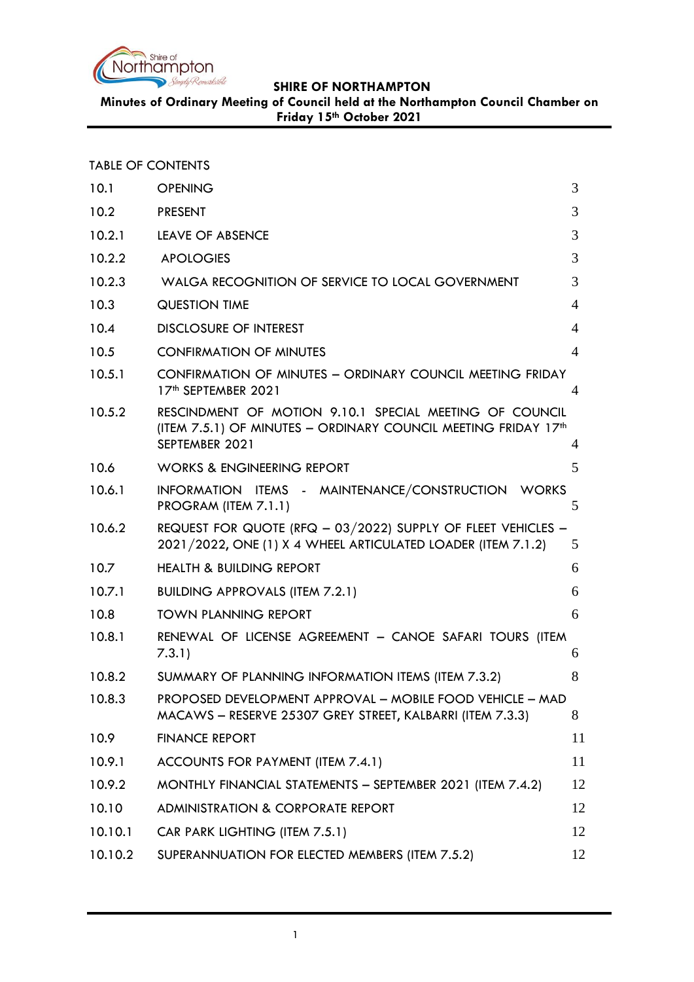

**Minutes of Ordinary Meeting of Council held at the Northampton Council Chamber on Friday 15th October 2021**

|  | <b>TABLE OF CONTENTS</b> |
|--|--------------------------|
|  |                          |

| <b>OPENING</b>                                                                                                                              | 3                                                         |
|---------------------------------------------------------------------------------------------------------------------------------------------|-----------------------------------------------------------|
| <b>PRESENT</b>                                                                                                                              | 3                                                         |
| LEAVE OF ABSENCE                                                                                                                            | 3                                                         |
| <b>APOLOGIES</b>                                                                                                                            | 3                                                         |
| WALGA RECOGNITION OF SERVICE TO LOCAL GOVERNMENT                                                                                            | 3                                                         |
| <b>QUESTION TIME</b>                                                                                                                        | $\overline{4}$                                            |
| <b>DISCLOSURE OF INTEREST</b>                                                                                                               | $\overline{4}$                                            |
| <b>CONFIRMATION OF MINUTES</b>                                                                                                              | $\overline{4}$                                            |
| CONFIRMATION OF MINUTES - ORDINARY COUNCIL MEETING FRIDAY<br>17th SEPTEMBER 2021                                                            | 4                                                         |
| RESCINDMENT OF MOTION 9.10.1 SPECIAL MEETING OF COUNCIL<br>(ITEM 7.5.1) OF MINUTES - ORDINARY COUNCIL MEETING FRIDAY 17th<br>SEPTEMBER 2021 | 4                                                         |
| <b>WORKS &amp; ENGINEERING REPORT</b>                                                                                                       | 5                                                         |
| INFORMATION ITEMS - MAINTENANCE/CONSTRUCTION WORKS<br>PROGRAM (ITEM 7.1.1)                                                                  | 5                                                         |
| REQUEST FOR QUOTE (RFQ - 03/2022) SUPPLY OF FLEET VEHICLES -<br>2021/2022, ONE (1) X 4 WHEEL ARTICULATED LOADER (ITEM 7.1.2)                | 5                                                         |
| <b>HEALTH &amp; BUILDING REPORT</b>                                                                                                         | 6                                                         |
| <b>BUILDING APPROVALS (ITEM 7.2.1)</b>                                                                                                      | 6                                                         |
| <b>TOWN PLANNING REPORT</b>                                                                                                                 | 6                                                         |
| RENEWAL OF LICENSE AGREEMENT - CANOE SAFARI TOURS (ITEM<br>7.3.1)                                                                           | 6                                                         |
| SUMMARY OF PLANNING INFORMATION ITEMS (ITEM 7.3.2)                                                                                          | 8                                                         |
| MACAWS - RESERVE 25307 GREY STREET, KALBARRI (ITEM 7.3.3)                                                                                   | 8                                                         |
| <b>FINANCE REPORT</b>                                                                                                                       | 11                                                        |
| ACCOUNTS FOR PAYMENT (ITEM 7.4.1)                                                                                                           | 11                                                        |
| MONTHLY FINANCIAL STATEMENTS - SEPTEMBER 2021 (ITEM 7.4.2)                                                                                  | 12                                                        |
| <b>ADMINISTRATION &amp; CORPORATE REPORT</b>                                                                                                | 12                                                        |
| CAR PARK LIGHTING (ITEM 7.5.1)                                                                                                              | 12                                                        |
| SUPERANNUATION FOR ELECTED MEMBERS (ITEM 7.5.2)                                                                                             | 12                                                        |
|                                                                                                                                             | PROPOSED DEVELOPMENT APPROVAL - MOBILE FOOD VEHICLE - MAD |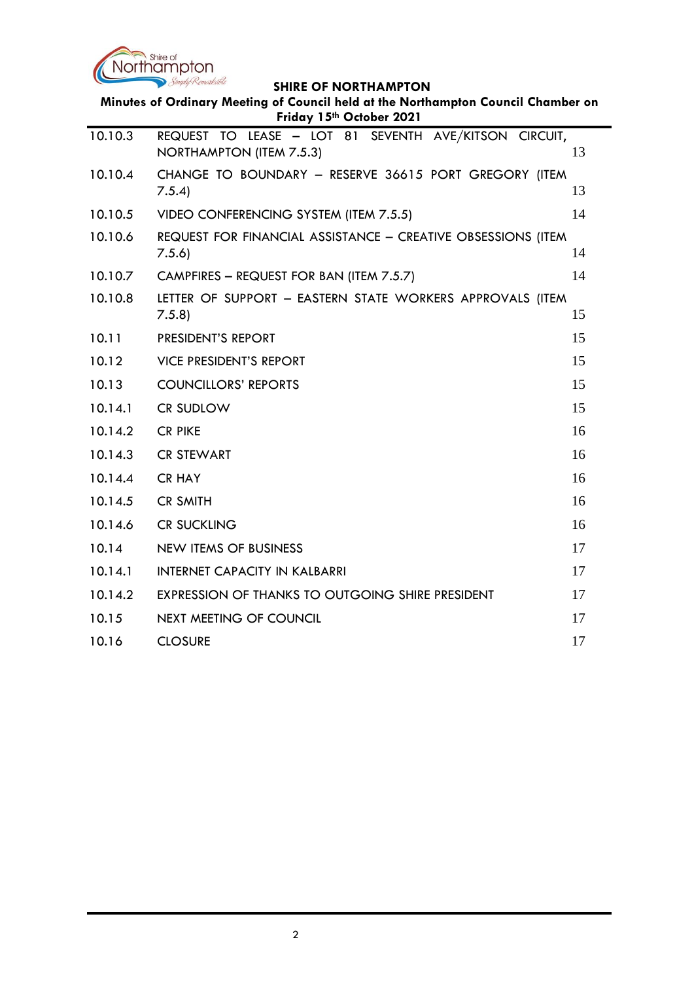

| Minutes of Ordinary Meeting of Council held at the Northampton Council Chamber on<br>Friday 15th October 2021 |                                                                                   |    |
|---------------------------------------------------------------------------------------------------------------|-----------------------------------------------------------------------------------|----|
| 10.10.3                                                                                                       | REQUEST TO LEASE - LOT 81 SEVENTH AVE/KITSON CIRCUIT,<br>NORTHAMPTON (ITEM 7.5.3) | 13 |
| 10.10.4                                                                                                       | CHANGE TO BOUNDARY - RESERVE 36615 PORT GREGORY (ITEM<br>7.5.4                    | 13 |
| 10.10.5                                                                                                       | VIDEO CONFERENCING SYSTEM (ITEM 7.5.5)                                            | 14 |
| 10.10.6                                                                                                       | REQUEST FOR FINANCIAL ASSISTANCE - CREATIVE OBSESSIONS (ITEM<br>7.5.6             | 14 |
| 10.10.7                                                                                                       | CAMPFIRES - REQUEST FOR BAN (ITEM 7.5.7)                                          | 14 |
| 10.10.8                                                                                                       | LETTER OF SUPPORT - EASTERN STATE WORKERS APPROVALS (ITEM<br>7.5.8                | 15 |
| 10.11                                                                                                         | <b>PRESIDENT'S REPORT</b>                                                         | 15 |
| 10.12                                                                                                         | <b>VICE PRESIDENT'S REPORT</b>                                                    | 15 |
| 10.13                                                                                                         | <b>COUNCILLORS' REPORTS</b>                                                       | 15 |
| 10.14.1                                                                                                       | <b>CR SUDLOW</b>                                                                  | 15 |
| 10.14.2                                                                                                       | <b>CR PIKE</b>                                                                    | 16 |
| 10.14.3                                                                                                       | <b>CR STEWART</b>                                                                 | 16 |
| 10.14.4                                                                                                       | <b>CR HAY</b>                                                                     | 16 |
| 10.14.5                                                                                                       | <b>CR SMITH</b>                                                                   | 16 |
| 10.14.6                                                                                                       | <b>CR SUCKLING</b>                                                                | 16 |
| 10.14                                                                                                         | <b>NEW ITEMS OF BUSINESS</b>                                                      | 17 |
| 10.14.1                                                                                                       | <b>INTERNET CAPACITY IN KALBARRI</b>                                              | 17 |
| 10.14.2                                                                                                       | EXPRESSION OF THANKS TO OUTGOING SHIRE PRESIDENT                                  | 17 |
| 10.15                                                                                                         | <b>NEXT MEETING OF COUNCIL</b>                                                    | 17 |
| 10.16                                                                                                         | <b>CLOSURE</b>                                                                    | 17 |
|                                                                                                               |                                                                                   |    |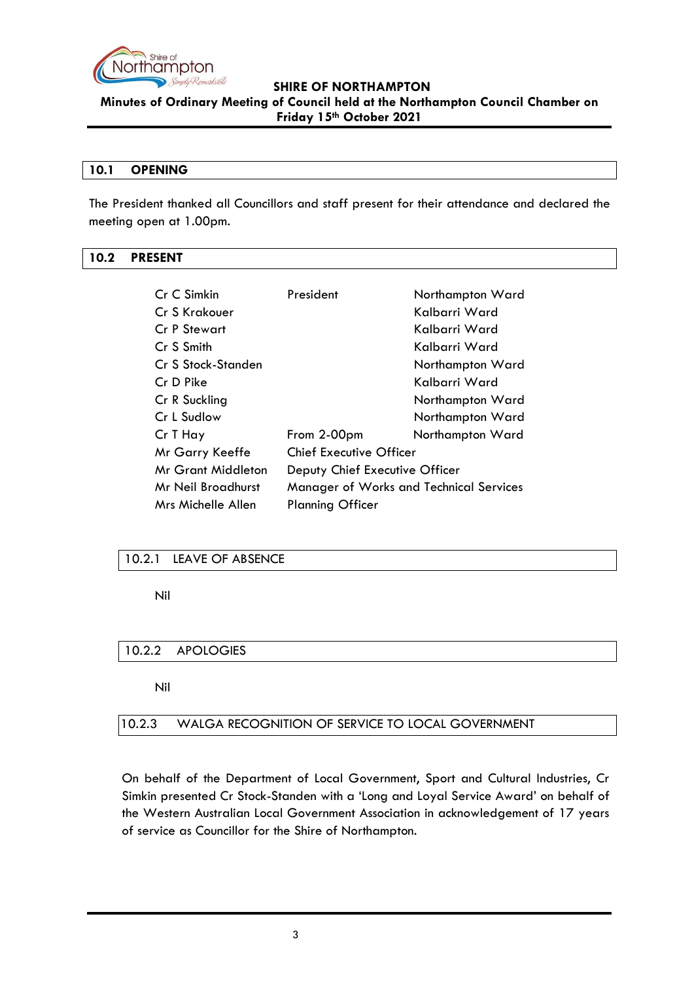

**Minutes of Ordinary Meeting of Council held at the Northampton Council Chamber on Friday 15th October 2021**

### <span id="page-2-0"></span>**10.1 OPENING**

The President thanked all Councillors and staff present for their attendance and declared the meeting open at 1.00pm.

### <span id="page-2-1"></span>**10.2 PRESENT**

| Cr C Simkin         | President                                      | Northampton Ward |
|---------------------|------------------------------------------------|------------------|
| Cr S Krakouer       |                                                | Kalbarri Ward    |
| <b>Cr P Stewart</b> |                                                | Kalbarri Ward    |
| Cr S Smith          |                                                | Kalbarri Ward    |
| Cr S Stock-Standen  |                                                | Northampton Ward |
| Cr D Pike           |                                                | Kalbarri Ward    |
| Cr R Suckling       |                                                | Northampton Ward |
| Cr L Sudlow         |                                                | Northampton Ward |
| Cr T Hay            | From 2-00pm                                    | Northampton Ward |
| Mr Garry Keeffe     | <b>Chief Executive Officer</b>                 |                  |
| Mr Grant Middleton  | Deputy Chief Executive Officer                 |                  |
| Mr Neil Broadhurst  | <b>Manager of Works and Technical Services</b> |                  |
| Mrs Michelle Allen  | <b>Planning Officer</b>                        |                  |

### <span id="page-2-2"></span>10.2.1 LEAVE OF ABSENCE

Nil

### <span id="page-2-3"></span>10.2.2 APOLOGIES

Nil

### <span id="page-2-4"></span>10.2.3 WALGA RECOGNITION OF SERVICE TO LOCAL GOVERNMENT

On behalf of the Department of Local Government, Sport and Cultural Industries, Cr Simkin presented Cr Stock-Standen with a 'Long and Loyal Service Award' on behalf of the Western Australian Local Government Association in acknowledgement of 17 years of service as Councillor for the Shire of Northampton.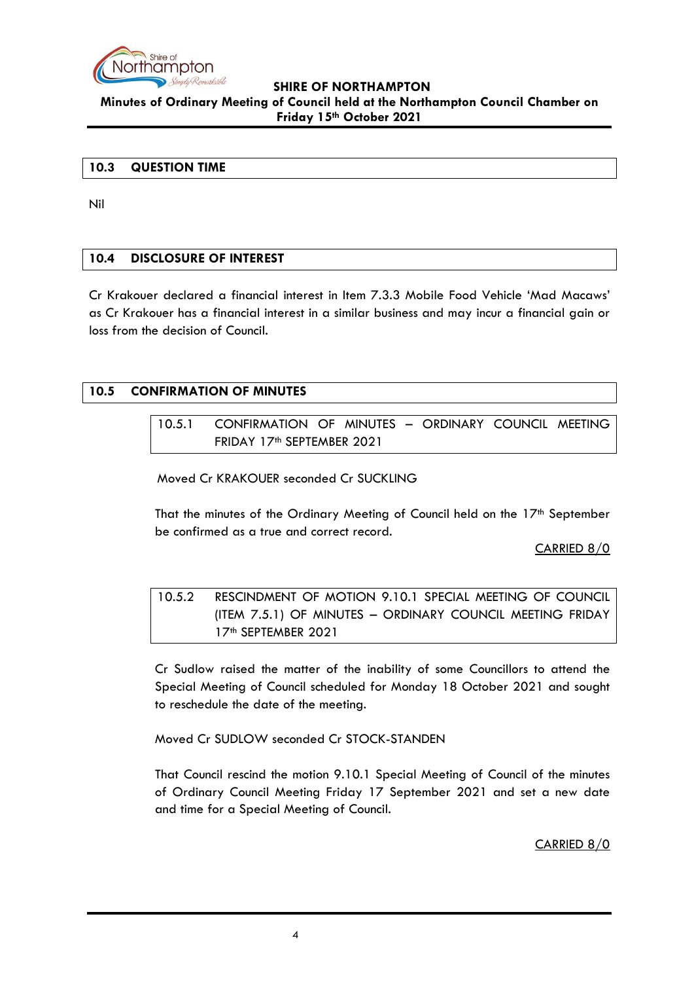

### <span id="page-3-0"></span>**10.3 QUESTION TIME**

Nil

### <span id="page-3-1"></span>**10.4 DISCLOSURE OF INTEREST**

Cr Krakouer declared a financial interest in Item 7.3.3 Mobile Food Vehicle 'Mad Macaws' as Cr Krakouer has a financial interest in a similar business and may incur a financial gain or loss from the decision of Council.

### <span id="page-3-3"></span><span id="page-3-2"></span>**10.5 CONFIRMATION OF MINUTES**

10.5.1 CONFIRMATION OF MINUTES – ORDINARY COUNCIL MEETING FRIDAY 17<sup>th</sup> SEPTEMBER 2021

Moved Cr KRAKOUER seconded Cr SUCKLING

That the minutes of the Ordinary Meeting of Council held on the  $17<sup>th</sup>$  September be confirmed as a true and correct record.

CARRIED 8/0

<span id="page-3-4"></span>10.5.2 RESCINDMENT OF MOTION 9.10.1 SPECIAL MEETING OF COUNCIL (ITEM 7.5.1) OF MINUTES – ORDINARY COUNCIL MEETING FRIDAY 17th SEPTEMBER 2021

Cr Sudlow raised the matter of the inability of some Councillors to attend the Special Meeting of Council scheduled for Monday 18 October 2021 and sought to reschedule the date of the meeting.

Moved Cr SUDLOW seconded Cr STOCK-STANDEN

That Council rescind the motion 9.10.1 Special Meeting of Council of the minutes of Ordinary Council Meeting Friday 17 September 2021 and set a new date and time for a Special Meeting of Council.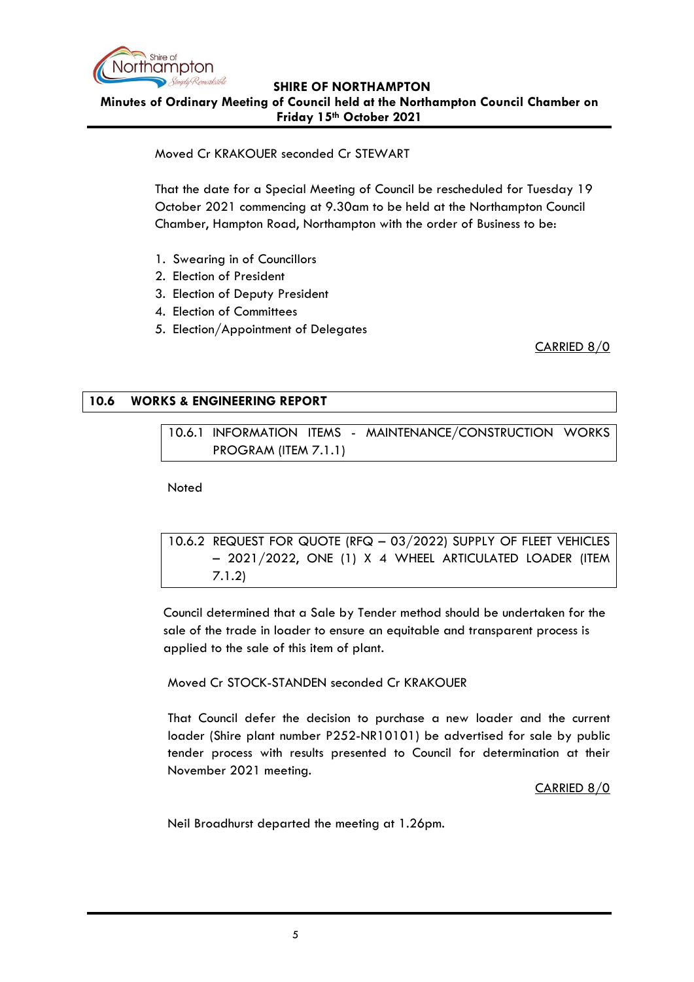

Moved Cr KRAKOUER seconded Cr STEWART

That the date for a Special Meeting of Council be rescheduled for Tuesday 19 October 2021 commencing at 9.30am to be held at the Northampton Council Chamber, Hampton Road, Northampton with the order of Business to be:

- 1. Swearing in of Councillors
- 2. Election of President
- 3. Election of Deputy President
- 4. Election of Committees
- 5. Election/Appointment of Delegates

CARRIED 8/0

### <span id="page-4-1"></span><span id="page-4-0"></span>**10.6 WORKS & ENGINEERING REPORT**

10.6.1 INFORMATION ITEMS - MAINTENANCE/CONSTRUCTION WORKS PROGRAM (ITEM 7.1.1)

Noted

```
10.6.2 REQUEST FOR QUOTE (RFQ – 03/2022) SUPPLY OF FLEET VEHICLES 
– 2021/2022, ONE (1) X 4 WHEEL ARTICULATED LOADER (ITEM 
7.1.2)
```
Council determined that a Sale by Tender method should be undertaken for the sale of the trade in loader to ensure an equitable and transparent process is applied to the sale of this item of plant.

### Moved Cr STOCK-STANDEN seconded Cr KRAKOUER

That Council defer the decision to purchase a new loader and the current loader (Shire plant number P252-NR10101) be advertised for sale by public tender process with results presented to Council for determination at their November 2021 meeting.

### CARRIED 8/0

Neil Broadhurst departed the meeting at 1.26pm.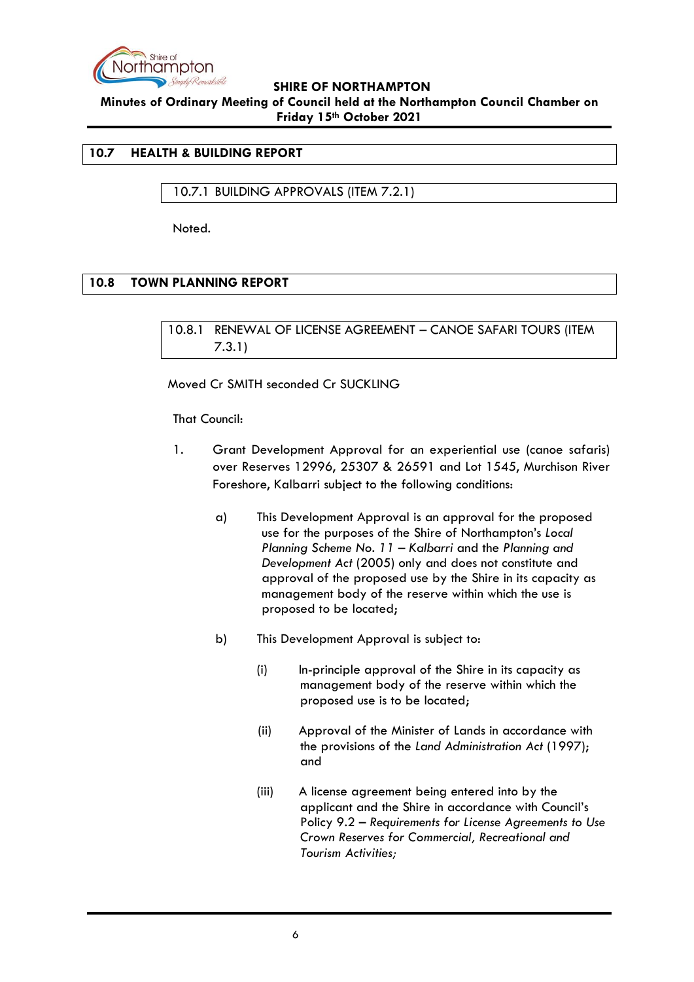

### <span id="page-5-0"></span>**10.7 HEALTH & BUILDING REPORT**

<span id="page-5-1"></span>10.7.1 BUILDING APPROVALS (ITEM 7.2.1)

Noted.

### <span id="page-5-3"></span><span id="page-5-2"></span>**10.8 TOWN PLANNING REPORT**

10.8.1 RENEWAL OF LICENSE AGREEMENT – CANOE SAFARI TOURS (ITEM 7.3.1)

Moved Cr SMITH seconded Cr SUCKLING

That Council:

- 1. Grant Development Approval for an experiential use (canoe safaris) over Reserves 12996, 25307 & 26591 and Lot 1545, Murchison River Foreshore, Kalbarri subject to the following conditions:
	- a) This Development Approval is an approval for the proposed use for the purposes of the Shire of Northampton's *Local Planning Scheme No. 11 – Kalbarri* and the *Planning and Development Act* (2005) only and does not constitute and approval of the proposed use by the Shire in its capacity as management body of the reserve within which the use is proposed to be located;
	- b) This Development Approval is subject to:
		- (i) In-principle approval of the Shire in its capacity as management body of the reserve within which the proposed use is to be located;
		- (ii) Approval of the Minister of Lands in accordance with the provisions of the *Land Administration Act* (1997); and
		- (iii) A license agreement being entered into by the applicant and the Shire in accordance with Council's Policy 9.2 – *Requirements for License Agreements to Use Crown Reserves for Commercial, Recreational and Tourism Activities;*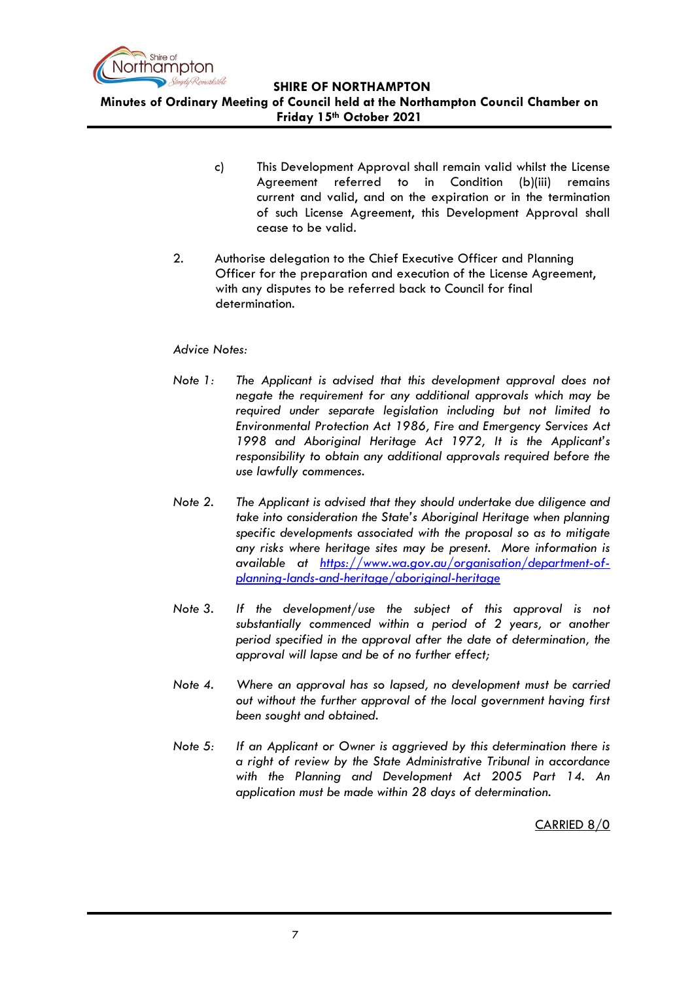

**Minutes of Ordinary Meeting of Council held at the Northampton Council Chamber on Friday 15th October 2021**

- c)This Development Approval shall remain valid whilst the License Agreement referred to in Condition (b)(iii) remains current and valid, and on the expiration or in the termination of such License Agreement, this Development Approval shall cease to be valid.
- 2. Authorise delegation to the Chief Executive Officer and Planning Officer for the preparation and execution of the License Agreement, with any disputes to be referred back to Council for final determination.

### *Advice Notes:*

- *Note 1: The Applicant is advised that this development approval does not negate the requirement for any additional approvals which may be required under separate legislation including but not limited to Environmental Protection Act 1986, Fire and Emergency Services Act 1998 and Aboriginal Heritage Act 1972, It is the Applicant's responsibility to obtain any additional approvals required before the use lawfully commences.*
- *Note 2. The Applicant is advised that they should undertake due diligence and take into consideration the State's Aboriginal Heritage when planning specific developments associated with the proposal so as to mitigate any risks where heritage sites may be present. More information is available at [https://www.wa.gov.au/organisation/department-of](https://www.wa.gov.au/organisation/department-of-planning-lands-and-heritage/aboriginal-heritage)[planning-lands-and-heritage/aboriginal-heritage](https://www.wa.gov.au/organisation/department-of-planning-lands-and-heritage/aboriginal-heritage)*
- *Note 3. If the development/use the subject of this approval is not substantially commenced within a period of 2 years, or another period specified in the approval after the date of determination, the approval will lapse and be of no further effect;*
- *Note 4. Where an approval has so lapsed, no development must be carried out without the further approval of the local government having first been sought and obtained.*
- *Note 5: If an Applicant or Owner is aggrieved by this determination there is a right of review by the State Administrative Tribunal in accordance with the Planning and Development Act 2005 Part 14. An application must be made within 28 days of determination.*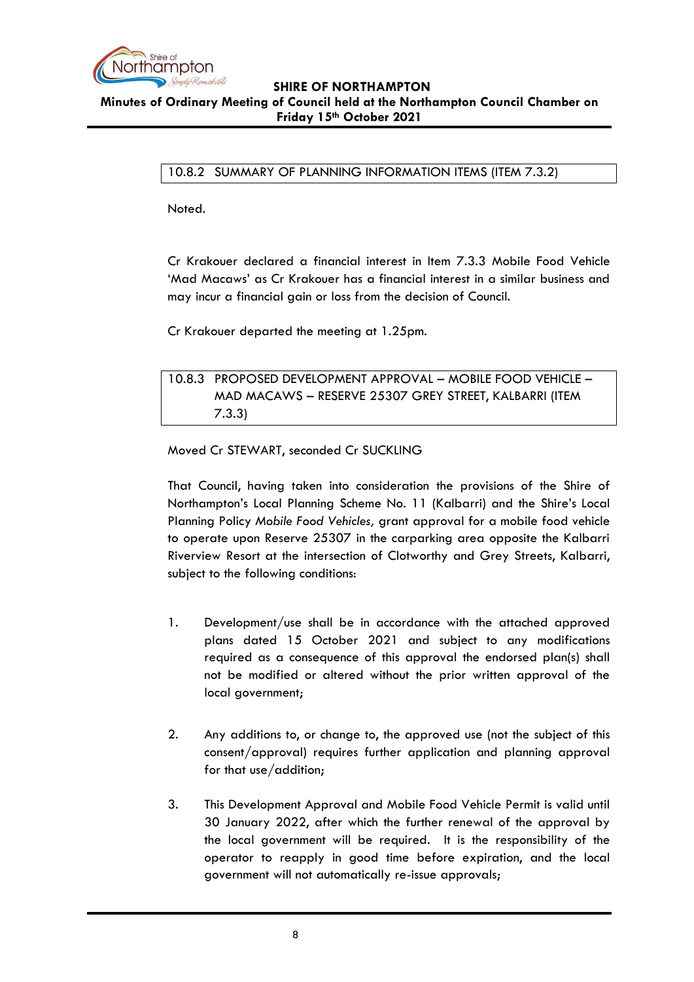

<span id="page-7-0"></span>10.8.2 SUMMARY OF PLANNING INFORMATION ITEMS (ITEM 7.3.2)

Noted.

Cr Krakouer declared a financial interest in Item 7.3.3 Mobile Food Vehicle 'Mad Macaws' as Cr Krakouer has a financial interest in a similar business and may incur a financial gain or loss from the decision of Council.

Cr Krakouer departed the meeting at 1.25pm.

<span id="page-7-1"></span>10.8.3 PROPOSED DEVELOPMENT APPROVAL – MOBILE FOOD VEHICLE – MAD MACAWS – RESERVE 25307 GREY STREET, KALBARRI (ITEM 7.3.3)

Moved Cr STEWART, seconded Cr SUCKLING

That Council, having taken into consideration the provisions of the Shire of Northampton's Local Planning Scheme No. 11 (Kalbarri) and the Shire's Local Planning Policy *Mobile Food Vehicles,* grant approval for a mobile food vehicle to operate upon Reserve 25307 in the carparking area opposite the Kalbarri Riverview Resort at the intersection of Clotworthy and Grey Streets, Kalbarri, subject to the following conditions:

- 1. Development/use shall be in accordance with the attached approved plans dated 15 October 2021 and subject to any modifications required as a consequence of this approval the endorsed plan(s) shall not be modified or altered without the prior written approval of the local government;
- 2. Any additions to, or change to, the approved use (not the subject of this consent/approval) requires further application and planning approval for that use/addition;
- 3. This Development Approval and Mobile Food Vehicle Permit is valid until 30 January 2022, after which the further renewal of the approval by the local government will be required. It is the responsibility of the operator to reapply in good time before expiration, and the local government will not automatically re-issue approvals;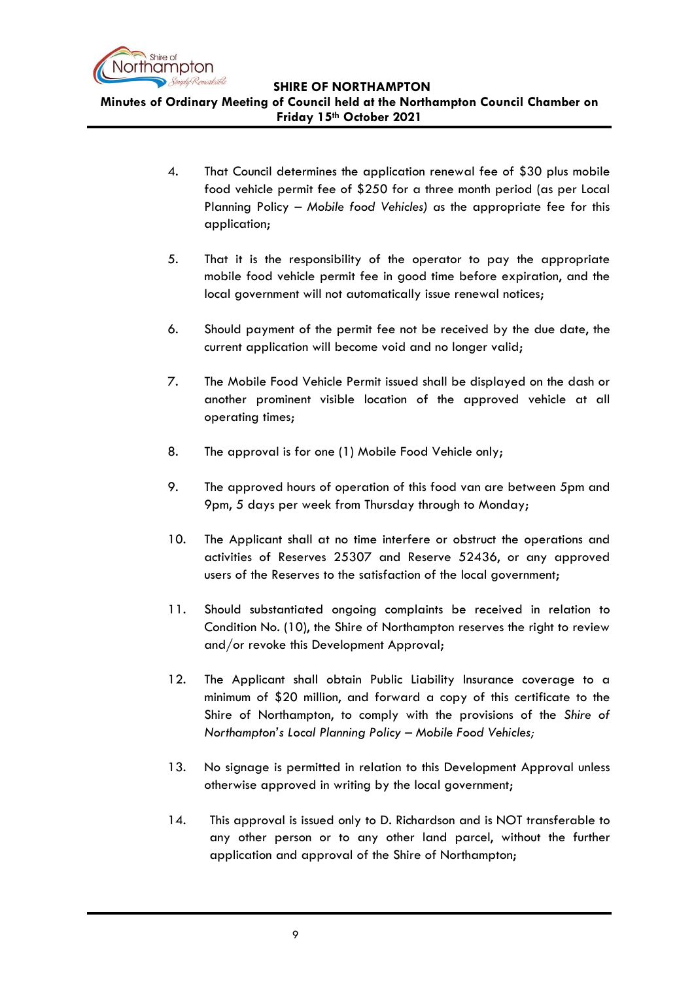

**Minutes of Ordinary Meeting of Council held at the Northampton Council Chamber on Friday 15th October 2021**

- 4. That Council determines the application renewal fee of \$30 plus mobile food vehicle permit fee of \$250 for a three month period (as per Local Planning Policy – *Mobile food Vehicles) a*s the appropriate fee for this application;
- 5. That it is the responsibility of the operator to pay the appropriate mobile food vehicle permit fee in good time before expiration, and the local government will not automatically issue renewal notices;
- 6. Should payment of the permit fee not be received by the due date, the current application will become void and no longer valid;
- 7. The Mobile Food Vehicle Permit issued shall be displayed on the dash or another prominent visible location of the approved vehicle at all operating times;
- 8. The approval is for one (1) Mobile Food Vehicle only;
- 9. The approved hours of operation of this food van are between 5pm and 9pm, 5 days per week from Thursday through to Monday;
- 10. The Applicant shall at no time interfere or obstruct the operations and activities of Reserves 25307 and Reserve 52436, or any approved users of the Reserves to the satisfaction of the local government;
- 11. Should substantiated ongoing complaints be received in relation to Condition No. (10), the Shire of Northampton reserves the right to review and/or revoke this Development Approval;
- 12. The Applicant shall obtain Public Liability Insurance coverage to a minimum of \$20 million, and forward a copy of this certificate to the Shire of Northampton, to comply with the provisions of the *Shire of Northampton's Local Planning Policy – Mobile Food Vehicles;*
- 13. No signage is permitted in relation to this Development Approval unless otherwise approved in writing by the local government;
- 14. This approval is issued only to D. Richardson and is NOT transferable to any other person or to any other land parcel, without the further application and approval of the Shire of Northampton;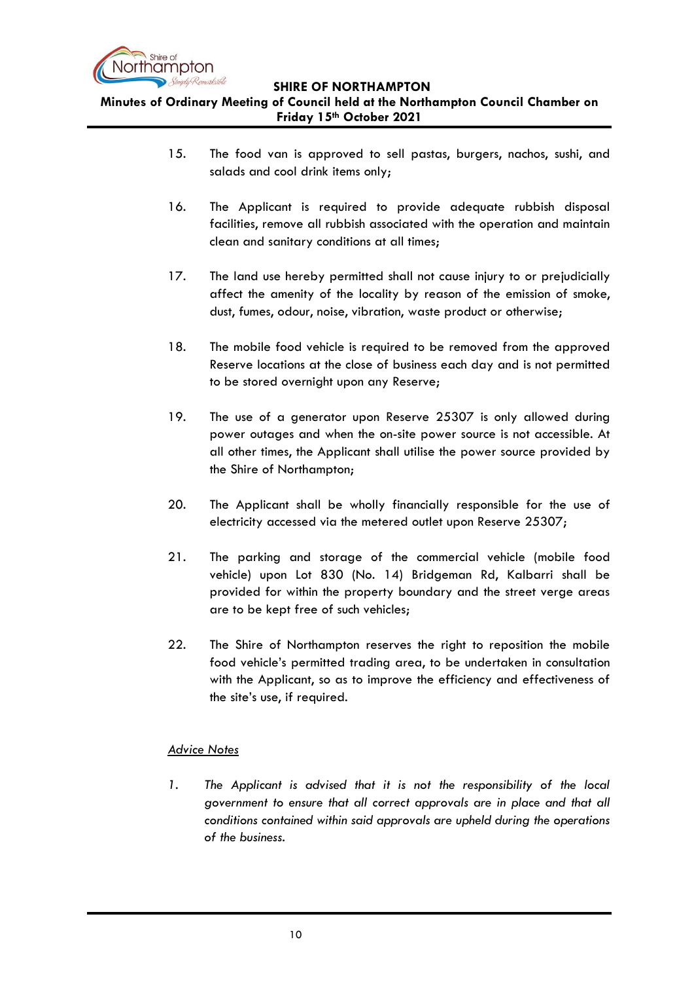

**Minutes of Ordinary Meeting of Council held at the Northampton Council Chamber on Friday 15th October 2021**

- 15. The food van is approved to sell pastas, burgers, nachos, sushi, and salads and cool drink items only;
- 16. The Applicant is required to provide adequate rubbish disposal facilities, remove all rubbish associated with the operation and maintain clean and sanitary conditions at all times;
- 17. The land use hereby permitted shall not cause injury to or prejudicially affect the amenity of the locality by reason of the emission of smoke, dust, fumes, odour, noise, vibration, waste product or otherwise;
- 18. The mobile food vehicle is required to be removed from the approved Reserve locations at the close of business each day and is not permitted to be stored overnight upon any Reserve;
- 19. The use of a generator upon Reserve 25307 is only allowed during power outages and when the on-site power source is not accessible. At all other times, the Applicant shall utilise the power source provided by the Shire of Northampton;
- 20. The Applicant shall be wholly financially responsible for the use of electricity accessed via the metered outlet upon Reserve 25307;
- 21. The parking and storage of the commercial vehicle (mobile food vehicle) upon Lot 830 (No. 14) Bridgeman Rd, Kalbarri shall be provided for within the property boundary and the street verge areas are to be kept free of such vehicles;
- 22. The Shire of Northampton reserves the right to reposition the mobile food vehicle's permitted trading area, to be undertaken in consultation with the Applicant, so as to improve the efficiency and effectiveness of the site's use, if required.

### *Advice Notes*

*1. The Applicant is advised that it is not the responsibility of the local government to ensure that all correct approvals are in place and that all conditions contained within said approvals are upheld during the operations of the business.*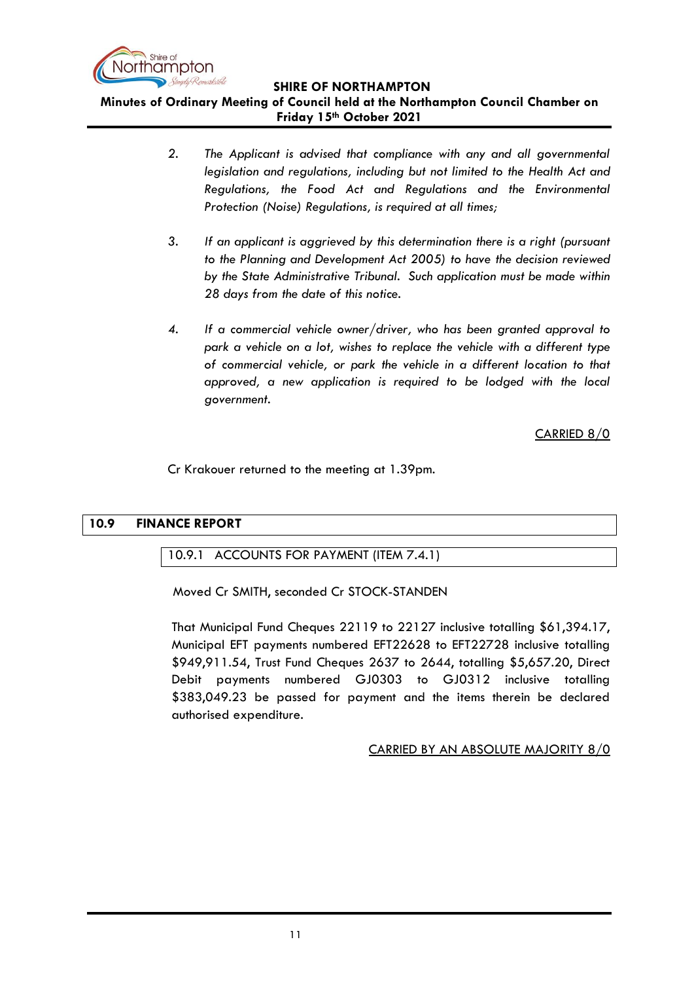

**Minutes of Ordinary Meeting of Council held at the Northampton Council Chamber on Friday 15th October 2021**

- *2. The Applicant is advised that compliance with any and all governmental legislation and regulations, including but not limited to the Health Act and Regulations, the Food Act and Regulations and the Environmental Protection (Noise) Regulations, is required at all times;*
- *3. If an applicant is aggrieved by this determination there is a right (pursuant to the Planning and Development Act 2005) to have the decision reviewed by the State Administrative Tribunal. Such application must be made within 28 days from the date of this notice.*
- *4. If a commercial vehicle owner/driver, who has been granted approval to park a vehicle on a lot, wishes to replace the vehicle with a different type of commercial vehicle, or park the vehicle in a different location to that approved, a new application is required to be lodged with the local government.*

CARRIED 8/0

Cr Krakouer returned to the meeting at 1.39pm.

### <span id="page-10-1"></span><span id="page-10-0"></span>**10.9 FINANCE REPORT**

### 10.9.1 ACCOUNTS FOR PAYMENT (ITEM 7.4.1)

Moved Cr SMITH, seconded Cr STOCK-STANDEN

That Municipal Fund Cheques 22119 to 22127 inclusive totalling \$61,394.17, Municipal EFT payments numbered EFT22628 to EFT22728 inclusive totalling \$949,911.54, Trust Fund Cheques 2637 to 2644, totalling \$5,657.20, Direct Debit payments numbered GJ0303 to GJ0312 inclusive totalling \$383,049.23 be passed for payment and the items therein be declared authorised expenditure.

### CARRIED BY AN ABSOLUTE MAJORITY 8/0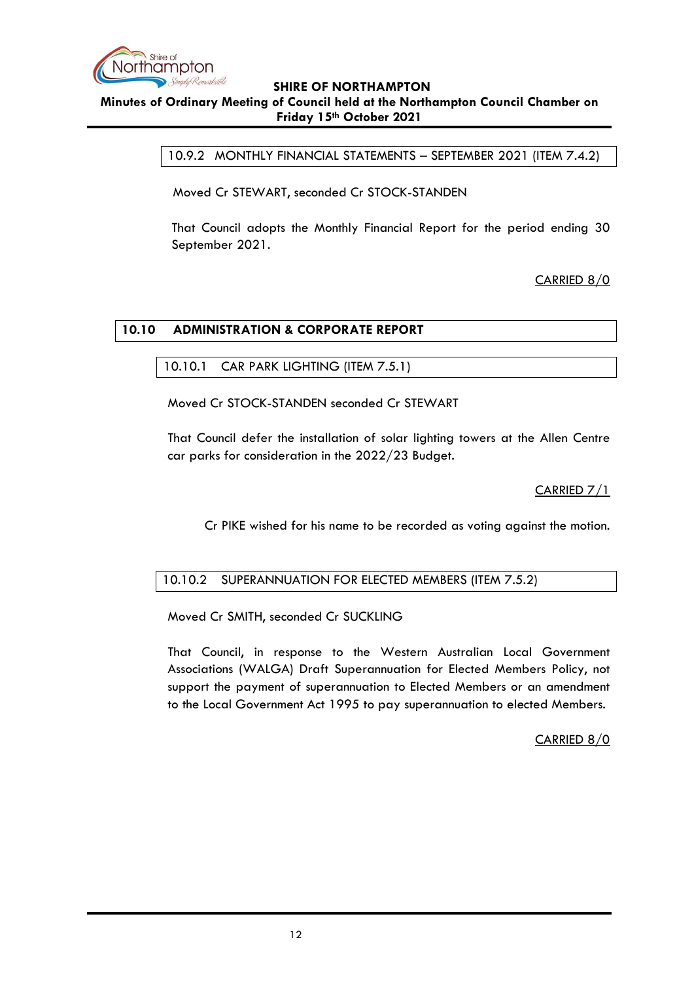

<span id="page-11-0"></span>10.9.2 MONTHLY FINANCIAL STATEMENTS – SEPTEMBER 2021 (ITEM 7.4.2)

Moved Cr STEWART, seconded Cr STOCK-STANDEN

That Council adopts the Monthly Financial Report for the period ending 30 September 2021.

CARRIED 8/0

### <span id="page-11-2"></span><span id="page-11-1"></span>**10.10 ADMINISTRATION & CORPORATE REPORT**

### 10.10.1 CAR PARK LIGHTING (ITEM 7.5.1)

Moved Cr STOCK-STANDEN seconded Cr STEWART

That Council defer the installation of solar lighting towers at the Allen Centre car parks for consideration in the 2022/23 Budget.

CARRIED 7/1

Cr PIKE wished for his name to be recorded as voting against the motion.

### <span id="page-11-3"></span>10.10.2 SUPERANNUATION FOR ELECTED MEMBERS (ITEM 7.5.2)

Moved Cr SMITH, seconded Cr SUCKLING

That Council, in response to the Western Australian Local Government Associations (WALGA) Draft Superannuation for Elected Members Policy, not support the payment of superannuation to Elected Members or an amendment to the Local Government Act 1995 to pay superannuation to elected Members.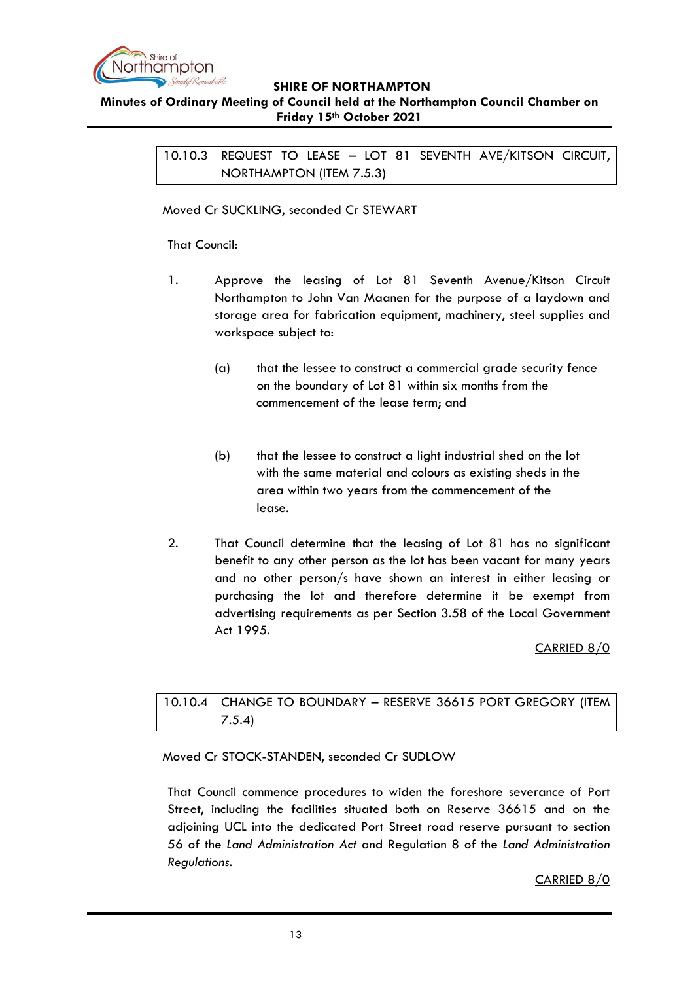

### <span id="page-12-0"></span>**Minutes of Ordinary Meeting of Council held at the Northampton Council Chamber on Friday 15th October 2021**

10.10.3 REQUEST TO LEASE – LOT 81 SEVENTH AVE/KITSON CIRCUIT, NORTHAMPTON (ITEM 7.5.3)

### Moved Cr SUCKLING, seconded Cr STEWART

### That Council:

- 1. Approve the leasing of Lot 81 Seventh Avenue/Kitson Circuit Northampton to John Van Maanen for the purpose of a laydown and storage area for fabrication equipment, machinery, steel supplies and workspace subject to:
	- (a) that the lessee to construct a commercial grade security fence on the boundary of Lot 81 within six months from the commencement of the lease term; and
	- (b) that the lessee to construct a light industrial shed on the lot with the same material and colours as existing sheds in the area within two years from the commencement of the lease.
- 2. That Council determine that the leasing of Lot 81 has no significant benefit to any other person as the lot has been vacant for many years and no other person/s have shown an interest in either leasing or purchasing the lot and therefore determine it be exempt from advertising requirements as per Section 3.58 of the Local Government Act 1995.

CARRIED 8/0

### <span id="page-12-1"></span>10.10.4 CHANGE TO BOUNDARY – RESERVE 36615 PORT GREGORY (ITEM 7.5.4)

Moved Cr STOCK-STANDEN, seconded Cr SUDLOW

That Council commence procedures to widen the foreshore severance of Port Street, including the facilities situated both on Reserve 36615 and on the adjoining UCL into the dedicated Port Street road reserve pursuant to section 56 of the *Land Administration Act* and Regulation 8 of the *Land Administration Regulations.*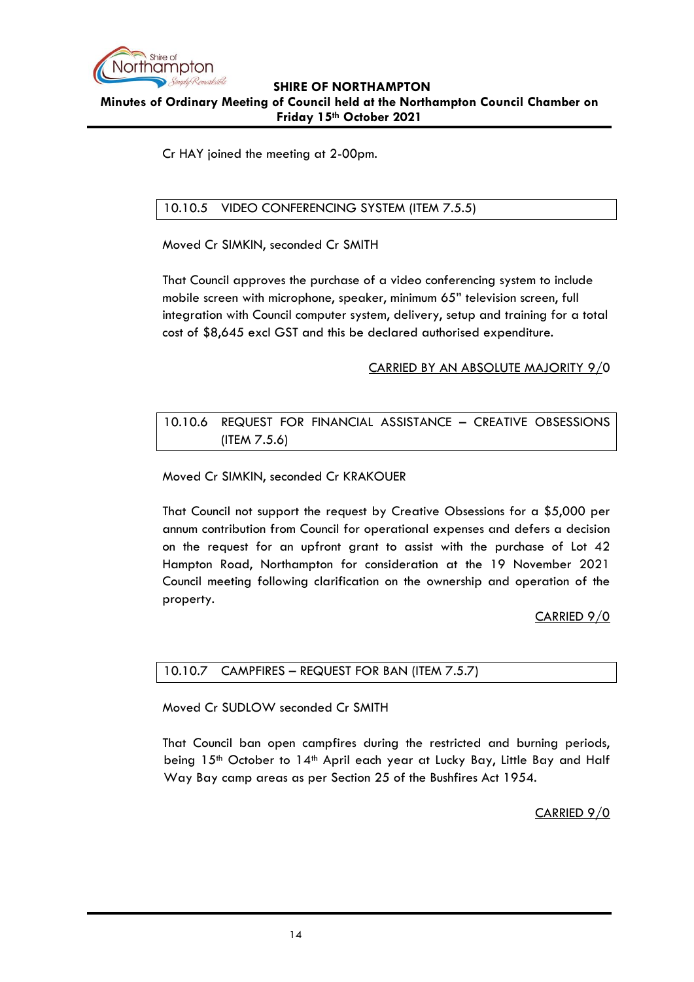

Cr HAY joined the meeting at 2-00pm.

### <span id="page-13-0"></span>10.10.5 VIDEO CONFERENCING SYSTEM (ITEM 7.5.5)

Moved Cr SIMKIN, seconded Cr SMITH

That Council approves the purchase of a video conferencing system to include mobile screen with microphone, speaker, minimum 65" television screen, full integration with Council computer system, delivery, setup and training for a total cost of \$8,645 excl GST and this be declared authorised expenditure.

### CARRIED BY AN ABSOLUTE MAJORITY 9/0

### <span id="page-13-1"></span>10.10.6 REQUEST FOR FINANCIAL ASSISTANCE – CREATIVE OBSESSIONS (ITEM 7.5.6)

Moved Cr SIMKIN, seconded Cr KRAKOUER

That Council not support the request by Creative Obsessions for a \$5,000 per annum contribution from Council for operational expenses and defers a decision on the request for an upfront grant to assist with the purchase of Lot 42 Hampton Road, Northampton for consideration at the 19 November 2021 Council meeting following clarification on the ownership and operation of the property.

### CARRIED 9/0

### <span id="page-13-2"></span>10.10.7 CAMPFIRES – REQUEST FOR BAN (ITEM 7.5.7)

Moved Cr SUDLOW seconded Cr SMITH

That Council ban open campfires during the restricted and burning periods, being 15<sup>th</sup> October to 14<sup>th</sup> April each year at Lucky Bay, Little Bay and Half Way Bay camp areas as per Section 25 of the Bushfires Act 1954.

CARRIED 9/0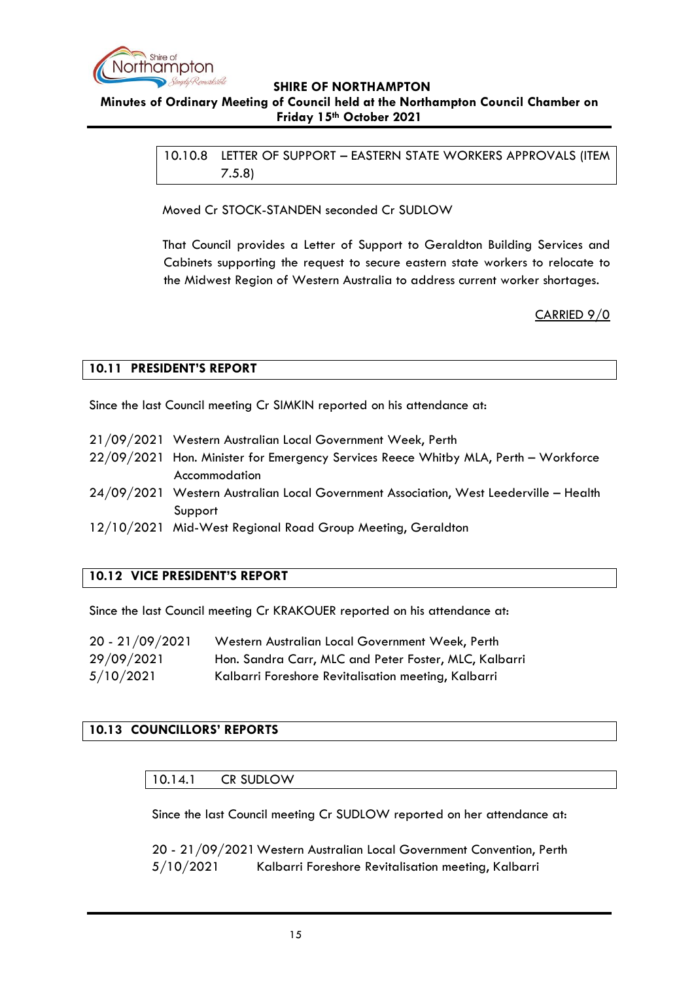

<span id="page-14-0"></span>10.10.8 LETTER OF SUPPORT – EASTERN STATE WORKERS APPROVALS (ITEM 7.5.8)

Moved Cr STOCK-STANDEN seconded Cr SUDLOW

That Council provides a Letter of Support to Geraldton Building Services and Cabinets supporting the request to secure eastern state workers to relocate to the Midwest Region of Western Australia to address current worker shortages.

CARRIED 9/0

### <span id="page-14-1"></span>**10.11 PRESIDENT'S REPORT**

Since the last Council meeting Cr SIMKIN reported on his attendance at:

- 21/09/2021 Western Australian Local Government Week, Perth
- 22/09/2021 Hon. Minister for Emergency Services Reece Whitby MLA, Perth Workforce Accommodation
- 24/09/2021 Western Australian Local Government Association, West Leederville Health Support
- 12/10/2021 Mid-West Regional Road Group Meeting, Geraldton

### <span id="page-14-2"></span>**10.12 VICE PRESIDENT'S REPORT**

Since the last Council meeting Cr KRAKOUER reported on his attendance at:

| 20 - 21/09/2021 | Western Australian Local Government Week, Perth       |
|-----------------|-------------------------------------------------------|
| 29/09/2021      | Hon. Sandra Carr, MLC and Peter Foster, MLC, Kalbarri |
| 5/10/2021       | Kalbarri Foreshore Revitalisation meeting, Kalbarri   |

### <span id="page-14-4"></span><span id="page-14-3"></span>**10.13 COUNCILLORS' REPORTS**

### 10.14.1 CR SUDLOW

Since the last Council meeting Cr SUDLOW reported on her attendance at:

20 - 21/09/2021Western Australian Local Government Convention, Perth 5/10/2021 Kalbarri Foreshore Revitalisation meeting, Kalbarri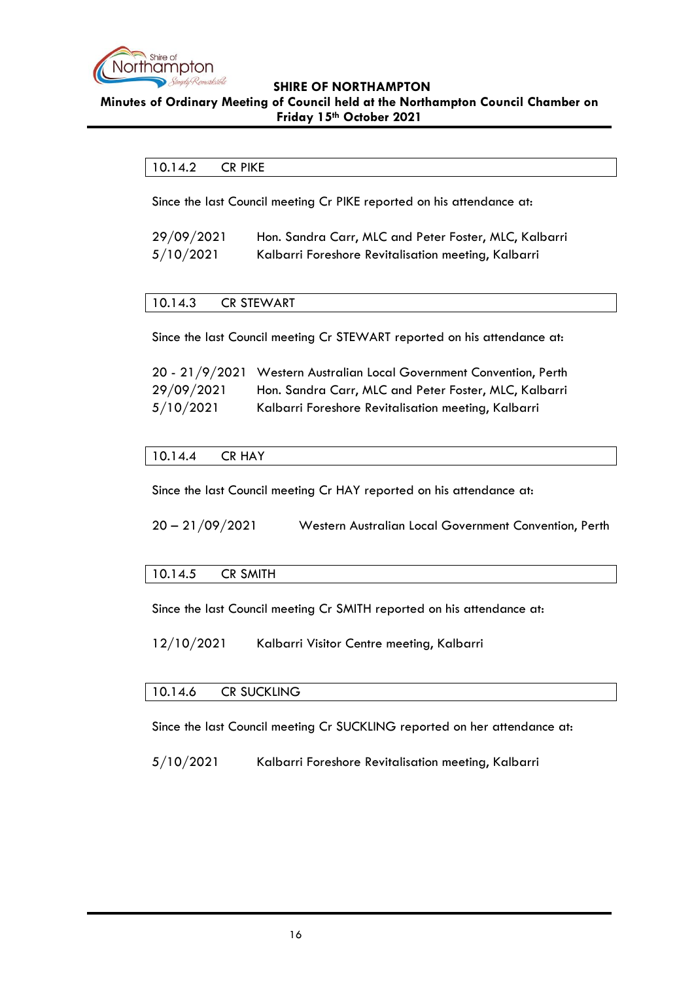

### <span id="page-15-0"></span>**Minutes of Ordinary Meeting of Council held at the Northampton Council Chamber on Friday 15th October 2021**

### 10.14.2 CR PIKE

Since the last Council meeting Cr PIKE reported on his attendance at:

| 29/09/2021 | Hon. Sandra Carr, MLC and Peter Foster, MLC, Kalbarri |
|------------|-------------------------------------------------------|
| 5/10/2021  | Kalbarri Foreshore Revitalisation meeting, Kalbarri   |

### <span id="page-15-1"></span>10.14.3 CR STEWART

Since the last Council meeting Cr STEWART reported on his attendance at:

|            | 20 - 21/9/2021 Western Australian Local Government Convention, Perth |
|------------|----------------------------------------------------------------------|
| 29/09/2021 | Hon. Sandra Carr, MLC and Peter Foster, MLC, Kalbarri                |
| 5/10/2021  | Kalbarri Foreshore Revitalisation meeting, Kalbarri                  |

### <span id="page-15-2"></span>10.14.4 CR HAY

Since the last Council meeting Cr HAY reported on his attendance at:

20 – 21/09/2021 Western Australian Local Government Convention, Perth

### <span id="page-15-3"></span>10.14.5 CR SMITH

Since the last Council meeting Cr SMITH reported on his attendance at:

12/10/2021 Kalbarri Visitor Centre meeting, Kalbarri

### <span id="page-15-4"></span>10.14.6 CR SUCKLING

Since the last Council meeting Cr SUCKLING reported on her attendance at:

5/10/2021 Kalbarri Foreshore Revitalisation meeting, Kalbarri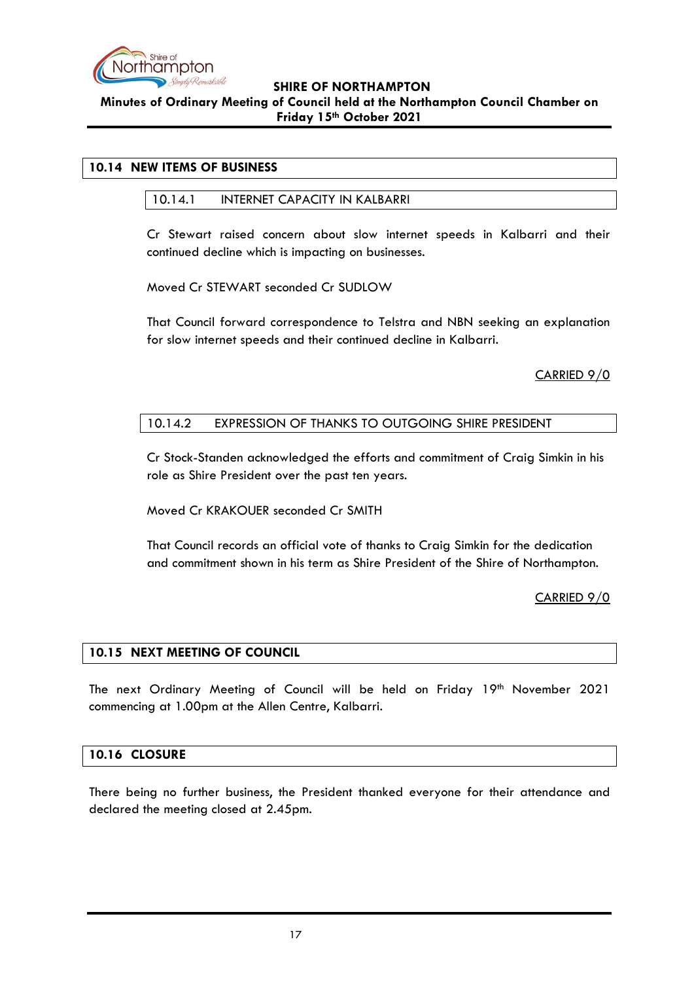

### <span id="page-16-1"></span><span id="page-16-0"></span>**10.14 NEW ITEMS OF BUSINESS**

### 10.14.1 INTERNET CAPACITY IN KALBARRI

Cr Stewart raised concern about slow internet speeds in Kalbarri and their continued decline which is impacting on businesses.

Moved Cr STEWART seconded Cr SUDLOW

That Council forward correspondence to Telstra and NBN seeking an explanation for slow internet speeds and their continued decline in Kalbarri.

CARRIED 9/0

### <span id="page-16-2"></span>10.14.2 EXPRESSION OF THANKS TO OUTGOING SHIRE PRESIDENT

Cr Stock-Standen acknowledged the efforts and commitment of Craig Simkin in his role as Shire President over the past ten years.

Moved Cr KRAKOUER seconded Cr SMITH

That Council records an official vote of thanks to Craig Simkin for the dedication and commitment shown in his term as Shire President of the Shire of Northampton.

CARRIED 9/0

### <span id="page-16-3"></span>**10.15 NEXT MEETING OF COUNCIL**

The next Ordinary Meeting of Council will be held on Friday 19th November 2021 commencing at 1.00pm at the Allen Centre, Kalbarri.

### <span id="page-16-4"></span>**10.16 CLOSURE**

There being no further business, the President thanked everyone for their attendance and declared the meeting closed at 2.45pm.